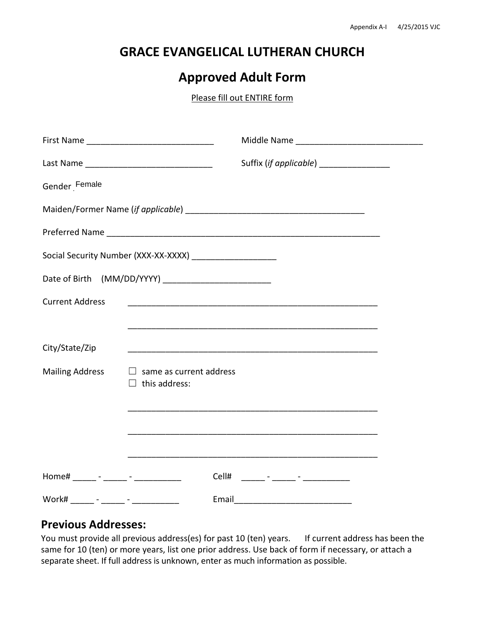## **GRACE EVANGELICAL LUTHERAN CHURCH**

# **Approved Adult Form**

Please fill out ENTIRE form

|                        |                                                              | Suffix (if applicable) __________________ |  |
|------------------------|--------------------------------------------------------------|-------------------------------------------|--|
| Gender Female          |                                                              |                                           |  |
|                        |                                                              |                                           |  |
|                        |                                                              |                                           |  |
|                        | Social Security Number (XXX-XX-XXXX) _______________________ |                                           |  |
|                        |                                                              |                                           |  |
| <b>Current Address</b> |                                                              |                                           |  |
|                        |                                                              |                                           |  |
| City/State/Zip         |                                                              |                                           |  |
| <b>Mailing Address</b> | $\Box$ same as current address<br>this address:<br>$\perp$   |                                           |  |
|                        |                                                              |                                           |  |
|                        |                                                              |                                           |  |
|                        |                                                              |                                           |  |
|                        |                                                              |                                           |  |
| Work#                  | Email                                                        |                                           |  |

#### **Previous Addresses:**

You must provide all previous address(es) for past 10 (ten) years. If current address has been the same for 10 (ten) or more years, list one prior address. Use back of form if necessary, or attach a separate sheet. If full address is unknown, enter as much information as possible.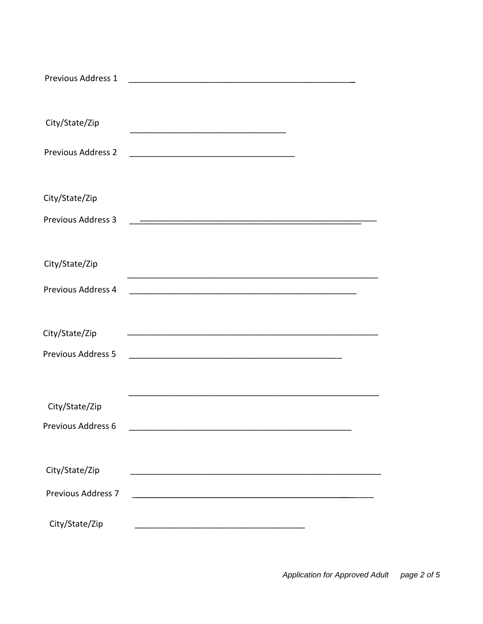| Previous Address 1                          |  |
|---------------------------------------------|--|
| City/State/Zip                              |  |
| <b>Previous Address 2</b>                   |  |
| City/State/Zip                              |  |
| <b>Previous Address 3</b>                   |  |
| City/State/Zip                              |  |
| Previous Address 4                          |  |
| City/State/Zip<br><b>Previous Address 5</b> |  |
| City/State/Zip                              |  |
| Previous Address 6                          |  |
| City/State/Zip                              |  |
| <b>Previous Address 7</b>                   |  |
| City/State/Zip                              |  |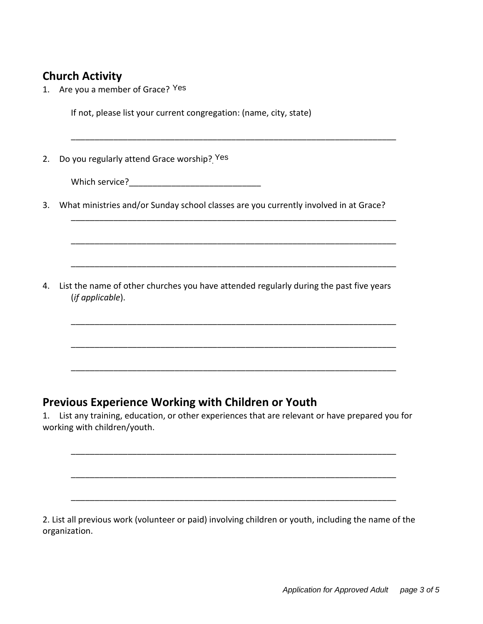## **Church Activity**

1. Are you a member of Grace? <sup>Yes</sup>

If not, please list your current congregation: (name, city, state)

2. Do you regularly attend Grace worship? Yes

Which service?

3. What ministries and/or Sunday school classes are you currently involved in at Grace?

\_\_\_\_\_\_\_\_\_\_\_\_\_\_\_\_\_\_\_\_\_\_\_\_\_\_\_\_\_\_\_\_\_\_\_\_\_\_\_\_\_\_\_\_\_\_\_\_\_\_\_\_\_\_\_\_\_\_\_\_\_\_\_\_\_\_\_\_\_

\_\_\_\_\_\_\_\_\_\_\_\_\_\_\_\_\_\_\_\_\_\_\_\_\_\_\_\_\_\_\_\_\_\_\_\_\_\_\_\_\_\_\_\_\_\_\_\_\_\_\_\_\_\_\_\_\_\_\_\_\_\_\_\_\_\_\_\_\_

\_\_\_\_\_\_\_\_\_\_\_\_\_\_\_\_\_\_\_\_\_\_\_\_\_\_\_\_\_\_\_\_\_\_\_\_\_\_\_\_\_\_\_\_\_\_\_\_\_\_\_\_\_\_\_\_\_\_\_\_\_\_\_\_\_\_\_\_\_

\_\_\_\_\_\_\_\_\_\_\_\_\_\_\_\_\_\_\_\_\_\_\_\_\_\_\_\_\_\_\_\_\_\_\_\_\_\_\_\_\_\_\_\_\_\_\_\_\_\_\_\_\_\_\_\_\_\_\_\_\_\_\_\_\_\_\_\_\_

\_\_\_\_\_\_\_\_\_\_\_\_\_\_\_\_\_\_\_\_\_\_\_\_\_\_\_\_\_\_\_\_\_\_\_\_\_\_\_\_\_\_\_\_\_\_\_\_\_\_\_\_\_\_\_\_\_\_\_\_\_\_\_\_\_\_\_\_\_

\_\_\_\_\_\_\_\_\_\_\_\_\_\_\_\_\_\_\_\_\_\_\_\_\_\_\_\_\_\_\_\_\_\_\_\_\_\_\_\_\_\_\_\_\_\_\_\_\_\_\_\_\_\_\_\_\_\_\_\_\_\_\_\_\_\_\_\_\_

\_\_\_\_\_\_\_\_\_\_\_\_\_\_\_\_\_\_\_\_\_\_\_\_\_\_\_\_\_\_\_\_\_\_\_\_\_\_\_\_\_\_\_\_\_\_\_\_\_\_\_\_\_\_\_\_\_\_\_\_\_\_\_\_\_\_\_\_\_

4. List the name of other churches you have attended regularly during the past five years (*if applicable*).

#### **Previous Experience Working with Children or Youth**

1. List any training, education, or other experiences that are relevant or have prepared you for working with children/youth.

\_\_\_\_\_\_\_\_\_\_\_\_\_\_\_\_\_\_\_\_\_\_\_\_\_\_\_\_\_\_\_\_\_\_\_\_\_\_\_\_\_\_\_\_\_\_\_\_\_\_\_\_\_\_\_\_\_\_\_\_\_\_\_\_\_\_\_\_\_

\_\_\_\_\_\_\_\_\_\_\_\_\_\_\_\_\_\_\_\_\_\_\_\_\_\_\_\_\_\_\_\_\_\_\_\_\_\_\_\_\_\_\_\_\_\_\_\_\_\_\_\_\_\_\_\_\_\_\_\_\_\_\_\_\_\_\_\_\_

\_\_\_\_\_\_\_\_\_\_\_\_\_\_\_\_\_\_\_\_\_\_\_\_\_\_\_\_\_\_\_\_\_\_\_\_\_\_\_\_\_\_\_\_\_\_\_\_\_\_\_\_\_\_\_\_\_\_\_\_\_\_\_\_\_\_\_\_\_

2. List all previous work (volunteer or paid) involving children or youth, including the name of the organization.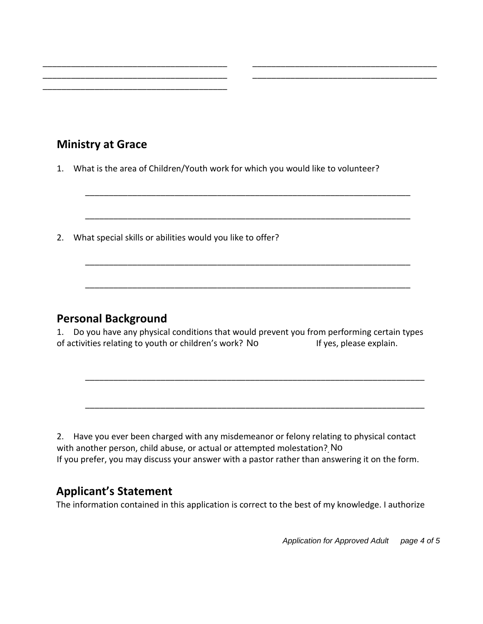## **Ministry at Grace**

\_\_\_\_\_\_\_\_\_\_\_\_\_\_\_\_\_\_\_\_\_\_\_\_\_\_\_\_\_\_\_\_\_\_\_\_\_\_\_

1. What is the area of Children/Youth work for which you would like to volunteer?

\_\_\_\_\_\_\_\_\_\_\_\_\_\_\_\_\_\_\_\_\_\_\_\_\_\_\_\_\_\_\_\_\_\_\_\_\_\_\_ \_\_\_\_\_\_\_\_\_\_\_\_\_\_\_\_\_\_\_\_\_\_\_\_\_\_\_\_\_\_\_\_\_\_\_\_\_\_\_ \_\_\_\_\_\_\_\_\_\_\_\_\_\_\_\_\_\_\_\_\_\_\_\_\_\_\_\_\_\_\_\_\_\_\_\_\_\_\_ \_\_\_\_\_\_\_\_\_\_\_\_\_\_\_\_\_\_\_\_\_\_\_\_\_\_\_\_\_\_\_\_\_\_\_\_\_\_\_

\_\_\_\_\_\_\_\_\_\_\_\_\_\_\_\_\_\_\_\_\_\_\_\_\_\_\_\_\_\_\_\_\_\_\_\_\_\_\_\_\_\_\_\_\_\_\_\_\_\_\_\_\_\_\_\_\_\_\_\_\_\_\_\_\_\_\_\_\_

\_\_\_\_\_\_\_\_\_\_\_\_\_\_\_\_\_\_\_\_\_\_\_\_\_\_\_\_\_\_\_\_\_\_\_\_\_\_\_\_\_\_\_\_\_\_\_\_\_\_\_\_\_\_\_\_\_\_\_\_\_\_\_\_\_\_\_\_\_

\_\_\_\_\_\_\_\_\_\_\_\_\_\_\_\_\_\_\_\_\_\_\_\_\_\_\_\_\_\_\_\_\_\_\_\_\_\_\_\_\_\_\_\_\_\_\_\_\_\_\_\_\_\_\_\_\_\_\_\_\_\_\_\_\_\_\_\_\_

\_\_\_\_\_\_\_\_\_\_\_\_\_\_\_\_\_\_\_\_\_\_\_\_\_\_\_\_\_\_\_\_\_\_\_\_\_\_\_\_\_\_\_\_\_\_\_\_\_\_\_\_\_\_\_\_\_\_\_\_\_\_\_\_\_\_\_\_\_

2. What special skills or abilities would you like to offer?

#### **Personal Background**

1. Do you have any physical conditions that would prevent you from performing certain types of activities relating to youth or children's work? No The Mass of yes, please explain.

\_\_\_\_\_\_\_\_\_\_\_\_\_\_\_\_\_\_\_\_\_\_\_\_\_\_\_\_\_\_\_\_\_\_\_\_\_\_\_\_\_\_\_\_\_\_\_\_\_\_\_\_\_\_\_\_\_\_\_\_\_\_\_\_\_\_\_\_\_\_\_\_

\_\_\_\_\_\_\_\_\_\_\_\_\_\_\_\_\_\_\_\_\_\_\_\_\_\_\_\_\_\_\_\_\_\_\_\_\_\_\_\_\_\_\_\_\_\_\_\_\_\_\_\_\_\_\_\_\_\_\_\_\_\_\_\_\_\_\_\_\_\_\_\_

2. Have you ever been charged with any misdemeanor or felony relating to physical contact with another person, child abuse, or actual or attempted molestation? No If you prefer, you may discuss your answer with a pastor rather than answering it on the form.

## **Applicant's Statement**

The information contained in this application is correct to the best of my knowledge. I authorize

*Application for Approved Adult page 4 of 5*